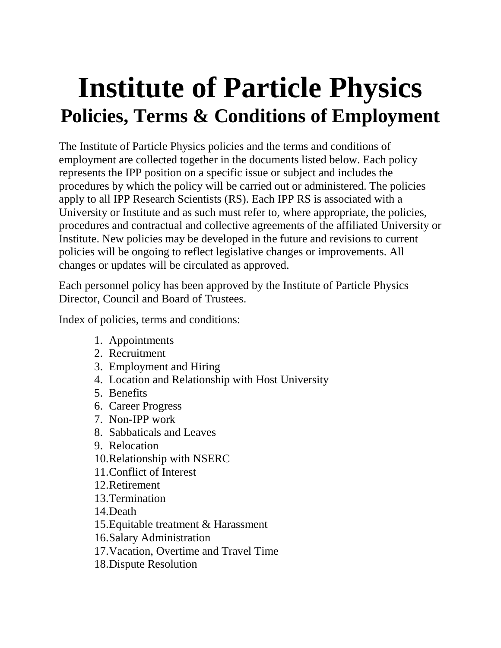# **Institute of Particle Physics Policies, Terms & Conditions of Employment**

The Institute of Particle Physics policies and the terms and conditions of employment are collected together in the documents listed below. Each policy represents the IPP position on a specific issue or subject and includes the procedures by which the policy will be carried out or administered. The policies apply to all IPP Research Scientists (RS). Each IPP RS is associated with a University or Institute and as such must refer to, where appropriate, the policies, procedures and contractual and collective agreements of the affiliated University or Institute. New policies may be developed in the future and revisions to current policies will be ongoing to reflect legislative changes or improvements. All changes or updates will be circulated as approved.

Each personnel policy has been approved by the Institute of Particle Physics Director, Council and Board of Trustees.

Index of policies, terms and conditions:

- 1. Appointments
- 2. Recruitment
- 3. Employment and Hiring
- 4. Location and Relationship with Host University
- 5. Benefits
- 6. Career Progress
- 7. Non-IPP work
- 8. Sabbaticals and Leaves
- 9. Relocation
- 10.Relationship with NSERC
- 11.Conflict of Interest
- 12.Retirement
- 13.Termination
- 14.Death
- 15.Equitable treatment & Harassment
- 16.Salary Administration
- 17.Vacation, Overtime and Travel Time
- 18.Dispute Resolution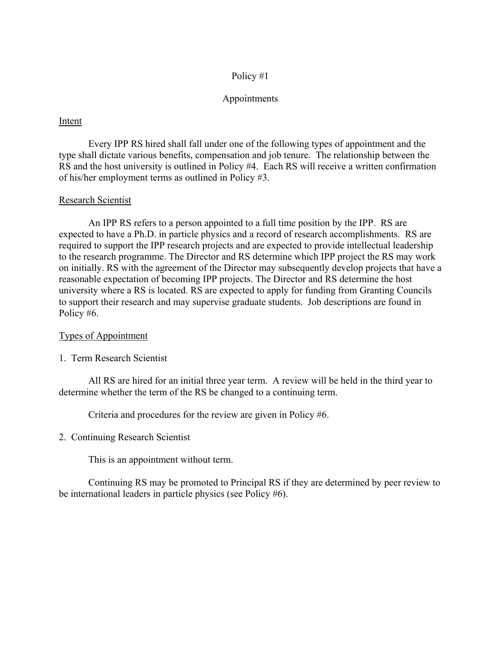#### Appointments

#### Intent

Every IPP RS hired shall fall under one of the following types of appointment and the type shall dictate various benefits, compensation and job tenure. The relationship between the RS and the host university is outlined in Policy #4. Each RS will receive a written confirmation of his/her employment terms as outlined in Policy #3.

#### Research Scientist

An IPP RS refers to a person appointed to a full time position by the IPP. RS are expected to have a Ph.D. in particle physics and a record of research accomplishments. RS are required to support the IPP research projects and are expected to provide intellectual leadership to the research programme. The Director and RS determine which IPP project the RS may work on initially. RS with the agreement of the Director may subsequently develop projects that have a reasonable expectation of becoming IPP projects. The Director and RS determine the host university where a RS is located. RS are expected to apply for funding from Granting Councils to support their research and may supervise graduate students. Job descriptions are found in Policy #6.

#### Types of Appointment

1. Term Research Scientist

All RS are hired for an initial three year term. A review will be held in the third year to determine whether the term of the RS be changed to a continuing term.

Criteria and procedures for the review are given in Policy #6.

#### 2. Continuing Research Scientist

This is an appointment without term.

Continuing RS may be promoted to Principal RS if they are determined by peer review to be international leaders in particle physics (see Policy #6).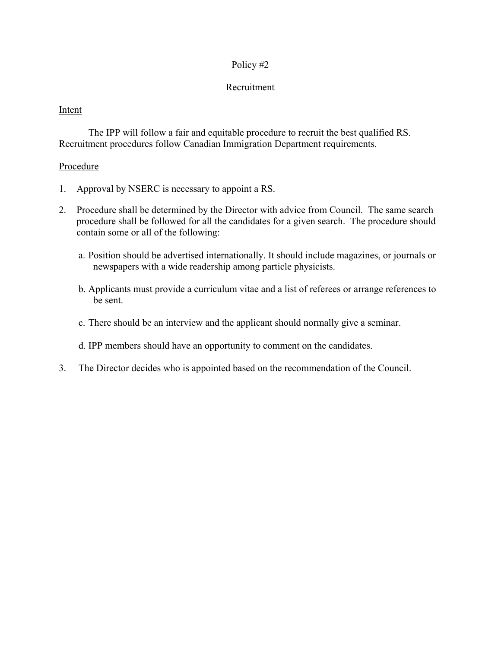# Recruitment

# Intent

The IPP will follow a fair and equitable procedure to recruit the best qualified RS. Recruitment procedures follow Canadian Immigration Department requirements.

## Procedure

- 1. Approval by NSERC is necessary to appoint a RS.
- 2. Procedure shall be determined by the Director with advice from Council. The same search procedure shall be followed for all the candidates for a given search. The procedure should contain some or all of the following:
	- a. Position should be advertised internationally. It should include magazines, or journals or newspapers with a wide readership among particle physicists.
	- b. Applicants must provide a curriculum vitae and a list of referees or arrange references to be sent.
	- c. There should be an interview and the applicant should normally give a seminar.
	- d. IPP members should have an opportunity to comment on the candidates.
- 3. The Director decides who is appointed based on the recommendation of the Council.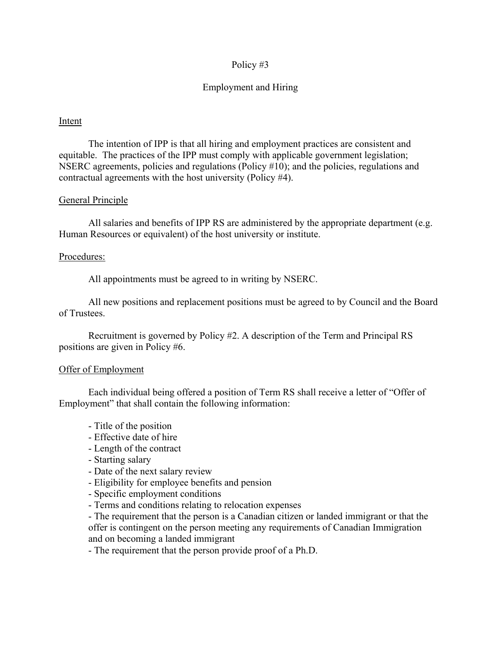# Employment and Hiring

#### Intent

The intention of IPP is that all hiring and employment practices are consistent and equitable. The practices of the IPP must comply with applicable government legislation; NSERC agreements, policies and regulations (Policy #10); and the policies, regulations and contractual agreements with the host university (Policy #4).

#### General Principle

All salaries and benefits of IPP RS are administered by the appropriate department (e.g. Human Resources or equivalent) of the host university or institute.

#### Procedures:

All appointments must be agreed to in writing by NSERC.

All new positions and replacement positions must be agreed to by Council and the Board of Trustees.

Recruitment is governed by Policy #2. A description of the Term and Principal RS positions are given in Policy #6.

#### Offer of Employment

Each individual being offered a position of Term RS shall receive a letter of "Offer of Employment" that shall contain the following information:

- Title of the position
- Effective date of hire
- Length of the contract
- Starting salary
- Date of the next salary review
- Eligibility for employee benefits and pension
- Specific employment conditions
- Terms and conditions relating to relocation expenses

- The requirement that the person is a Canadian citizen or landed immigrant or that the offer is contingent on the person meeting any requirements of Canadian Immigration and on becoming a landed immigrant

- The requirement that the person provide proof of a Ph.D.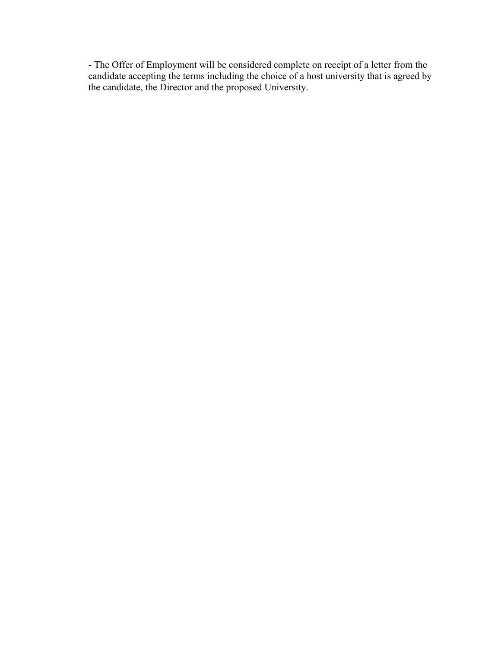- The Offer of Employment will be considered complete on receipt of a letter from the candidate accepting the terms including the choice of a host university that is agreed by the candidate, the Director and the proposed University.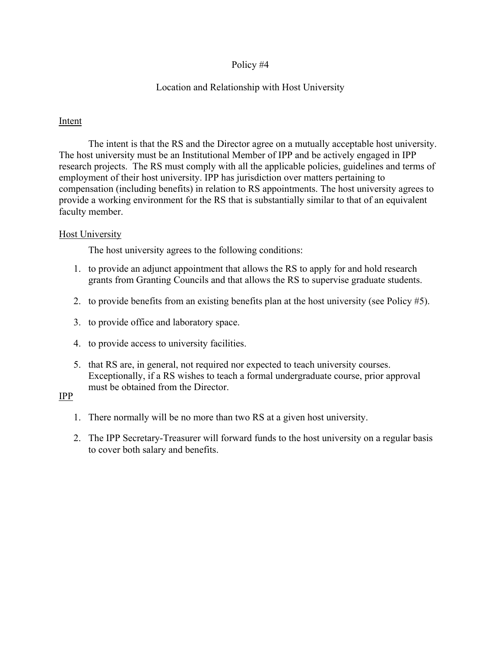# Location and Relationship with Host University

# Intent

The intent is that the RS and the Director agree on a mutually acceptable host university. The host university must be an Institutional Member of IPP and be actively engaged in IPP research projects. The RS must comply with all the applicable policies, guidelines and terms of employment of their host university. IPP has jurisdiction over matters pertaining to compensation (including benefits) in relation to RS appointments. The host university agrees to provide a working environment for the RS that is substantially similar to that of an equivalent faculty member.

# Host University

The host university agrees to the following conditions:

- 1. to provide an adjunct appointment that allows the RS to apply for and hold research grants from Granting Councils and that allows the RS to supervise graduate students.
- 2. to provide benefits from an existing benefits plan at the host university (see Policy #5).
- 3. to provide office and laboratory space.
- 4. to provide access to university facilities.
- 5. that RS are, in general, not required nor expected to teach university courses. Exceptionally, if a RS wishes to teach a formal undergraduate course, prior approval must be obtained from the Director.

# IPP

- 1. There normally will be no more than two RS at a given host university.
- 2. The IPP Secretary-Treasurer will forward funds to the host university on a regular basis to cover both salary and benefits.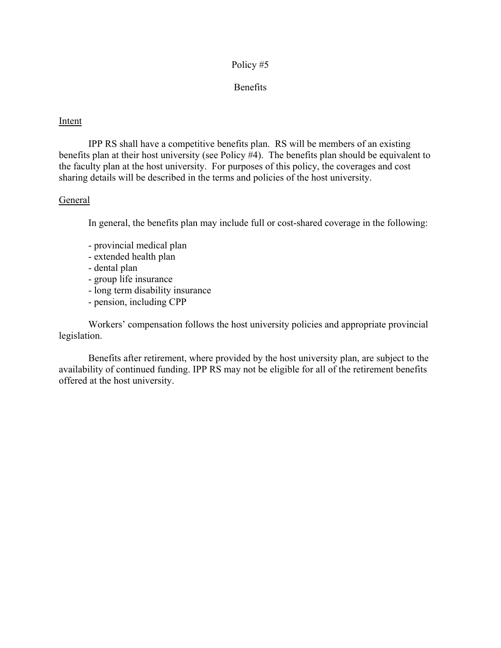# Benefits

#### Intent

IPP RS shall have a competitive benefits plan. RS will be members of an existing benefits plan at their host university (see Policy #4). The benefits plan should be equivalent to the faculty plan at the host university. For purposes of this policy, the coverages and cost sharing details will be described in the terms and policies of the host university.

#### General

In general, the benefits plan may include full or cost-shared coverage in the following:

- provincial medical plan
- extended health plan
- dental plan
- group life insurance
- long term disability insurance
- pension, including CPP

Workers' compensation follows the host university policies and appropriate provincial legislation.

Benefits after retirement, where provided by the host university plan, are subject to the availability of continued funding. IPP RS may not be eligible for all of the retirement benefits offered at the host university.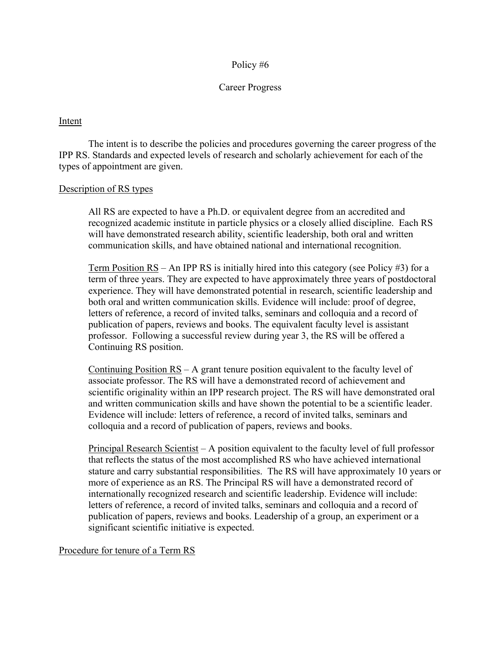# Career Progress

# Intent

The intent is to describe the policies and procedures governing the career progress of the IPP RS. Standards and expected levels of research and scholarly achievement for each of the types of appointment are given.

#### Description of RS types

All RS are expected to have a Ph.D. or equivalent degree from an accredited and recognized academic institute in particle physics or a closely allied discipline. Each RS will have demonstrated research ability, scientific leadership, both oral and written communication skills, and have obtained national and international recognition.

Term Position  $RS - An IPP RS$  is initially hired into this category (see Policy #3) for a term of three years. They are expected to have approximately three years of postdoctoral experience. They will have demonstrated potential in research, scientific leadership and both oral and written communication skills. Evidence will include: proof of degree, letters of reference, a record of invited talks, seminars and colloquia and a record of publication of papers, reviews and books. The equivalent faculty level is assistant professor. Following a successful review during year 3, the RS will be offered a Continuing RS position.

Continuing Position  $RS - A$  grant tenure position equivalent to the faculty level of associate professor. The RS will have a demonstrated record of achievement and scientific originality within an IPP research project. The RS will have demonstrated oral and written communication skills and have shown the potential to be a scientific leader. Evidence will include: letters of reference, a record of invited talks, seminars and colloquia and a record of publication of papers, reviews and books.

Principal Research Scientist – A position equivalent to the faculty level of full professor that reflects the status of the most accomplished RS who have achieved international stature and carry substantial responsibilities. The RS will have approximately 10 years or more of experience as an RS. The Principal RS will have a demonstrated record of internationally recognized research and scientific leadership. Evidence will include: letters of reference, a record of invited talks, seminars and colloquia and a record of publication of papers, reviews and books. Leadership of a group, an experiment or a significant scientific initiative is expected.

#### Procedure for tenure of a Term RS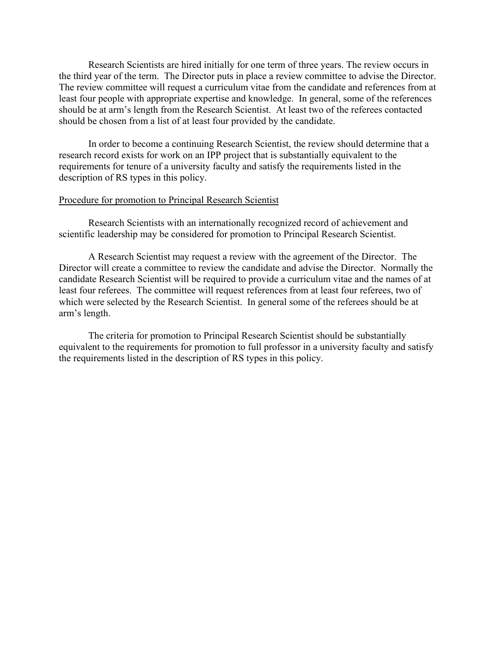Research Scientists are hired initially for one term of three years. The review occurs in the third year of the term. The Director puts in place a review committee to advise the Director. The review committee will request a curriculum vitae from the candidate and references from at least four people with appropriate expertise and knowledge. In general, some of the references should be at arm's length from the Research Scientist. At least two of the referees contacted should be chosen from a list of at least four provided by the candidate.

In order to become a continuing Research Scientist, the review should determine that a research record exists for work on an IPP project that is substantially equivalent to the requirements for tenure of a university faculty and satisfy the requirements listed in the description of RS types in this policy.

#### Procedure for promotion to Principal Research Scientist

Research Scientists with an internationally recognized record of achievement and scientific leadership may be considered for promotion to Principal Research Scientist.

A Research Scientist may request a review with the agreement of the Director. The Director will create a committee to review the candidate and advise the Director. Normally the candidate Research Scientist will be required to provide a curriculum vitae and the names of at least four referees. The committee will request references from at least four referees, two of which were selected by the Research Scientist. In general some of the referees should be at arm's length.

The criteria for promotion to Principal Research Scientist should be substantially equivalent to the requirements for promotion to full professor in a university faculty and satisfy the requirements listed in the description of RS types in this policy.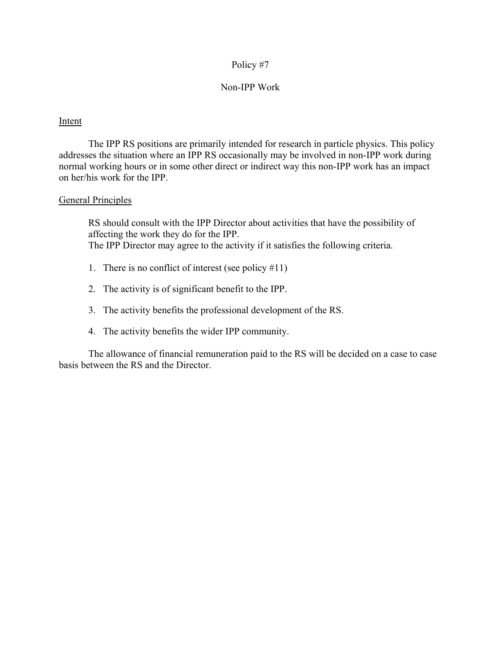#### Non-IPP Work

#### Intent

 The IPP RS positions are primarily intended for research in particle physics. This policy addresses the situation where an IPP RS occasionally may be involved in non-IPP work during normal working hours or in some other direct or indirect way this non-IPP work has an impact on her/his work for the IPP.

#### General Principles

RS should consult with the IPP Director about activities that have the possibility of affecting the work they do for the IPP. The IPP Director may agree to the activity if it satisfies the following criteria.

- 1. There is no conflict of interest (see policy  $#11$ )
- 2. The activity is of significant benefit to the IPP.
- 3. The activity benefits the professional development of the RS.
- 4. The activity benefits the wider IPP community.

The allowance of financial remuneration paid to the RS will be decided on a case to case basis between the RS and the Director.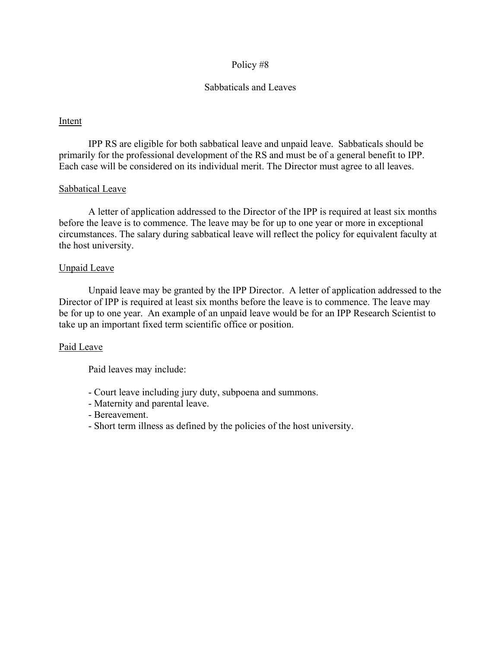# Sabbaticals and Leaves

# Intent

 IPP RS are eligible for both sabbatical leave and unpaid leave. Sabbaticals should be primarily for the professional development of the RS and must be of a general benefit to IPP. Each case will be considered on its individual merit. The Director must agree to all leaves.

# Sabbatical Leave

 A letter of application addressed to the Director of the IPP is required at least six months before the leave is to commence. The leave may be for up to one year or more in exceptional circumstances. The salary during sabbatical leave will reflect the policy for equivalent faculty at the host university.

#### Unpaid Leave

 Unpaid leave may be granted by the IPP Director. A letter of application addressed to the Director of IPP is required at least six months before the leave is to commence. The leave may be for up to one year. An example of an unpaid leave would be for an IPP Research Scientist to take up an important fixed term scientific office or position.

#### Paid Leave

Paid leaves may include:

- Court leave including jury duty, subpoena and summons.
- Maternity and parental leave.
- Bereavement.
- Short term illness as defined by the policies of the host university.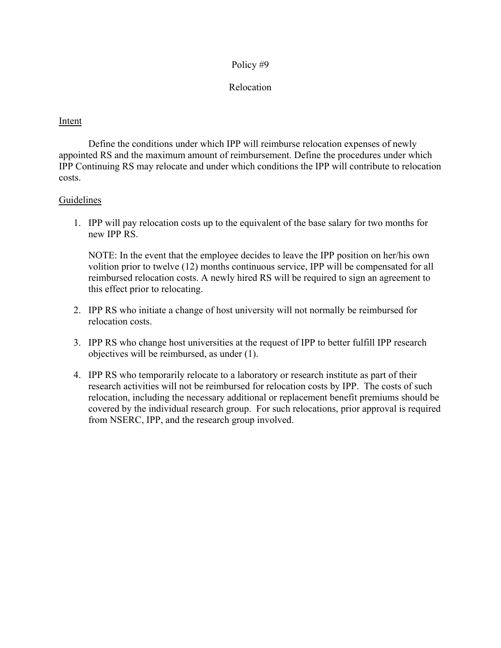# Relocation

# Intent

Define the conditions under which IPP will reimburse relocation expenses of newly appointed RS and the maximum amount of reimbursement. Define the procedures under which IPP Continuing RS may relocate and under which conditions the IPP will contribute to relocation costs.

# Guidelines

1. IPP will pay relocation costs up to the equivalent of the base salary for two months for new IPP RS.

NOTE: In the event that the employee decides to leave the IPP position on her/his own volition prior to twelve (12) months continuous service, IPP will be compensated for all reimbursed relocation costs. A newly hired RS will be required to sign an agreement to this effect prior to relocating.

- 2. IPP RS who initiate a change of host university will not normally be reimbursed for relocation costs.
- 3. IPP RS who change host universities at the request of IPP to better fulfill IPP research objectives will be reimbursed, as under (1).
- 4. IPP RS who temporarily relocate to a laboratory or research institute as part of their research activities will not be reimbursed for relocation costs by IPP. The costs of such relocation, including the necessary additional or replacement benefit premiums should be covered by the individual research group. For such relocations, prior approval is required from NSERC, IPP, and the research group involved.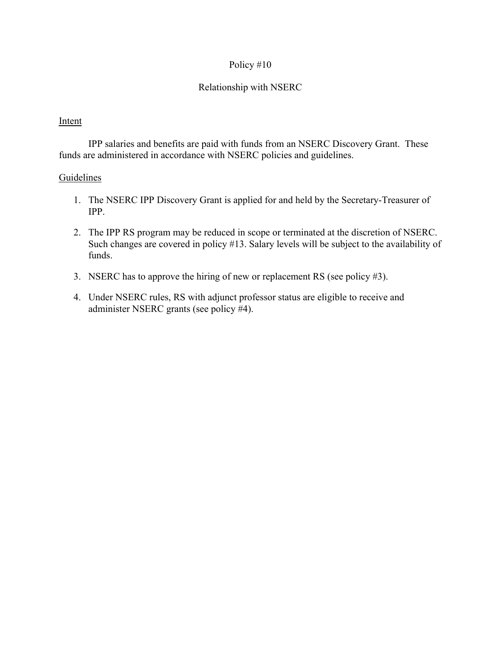# Relationship with NSERC

# Intent

IPP salaries and benefits are paid with funds from an NSERC Discovery Grant. These funds are administered in accordance with NSERC policies and guidelines.

- 1. The NSERC IPP Discovery Grant is applied for and held by the Secretary-Treasurer of IPP.
- 2. The IPP RS program may be reduced in scope or terminated at the discretion of NSERC. Such changes are covered in policy #13. Salary levels will be subject to the availability of funds.
- 3. NSERC has to approve the hiring of new or replacement RS (see policy #3).
- 4. Under NSERC rules, RS with adjunct professor status are eligible to receive and administer NSERC grants (see policy #4).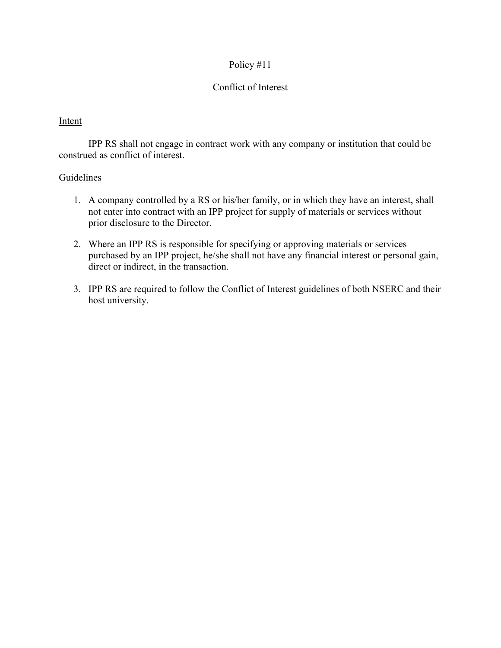# Conflict of Interest

# Intent

IPP RS shall not engage in contract work with any company or institution that could be construed as conflict of interest.

- 1. A company controlled by a RS or his/her family, or in which they have an interest, shall not enter into contract with an IPP project for supply of materials or services without prior disclosure to the Director.
- 2. Where an IPP RS is responsible for specifying or approving materials or services purchased by an IPP project, he/she shall not have any financial interest or personal gain, direct or indirect, in the transaction.
- 3. IPP RS are required to follow the Conflict of Interest guidelines of both NSERC and their host university.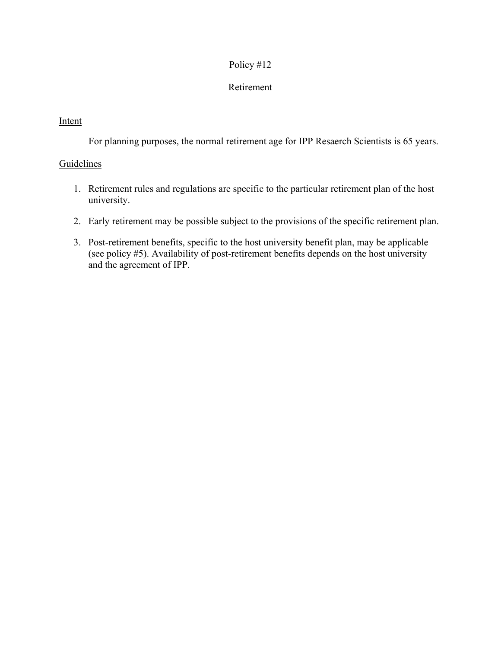# Retirement

# Intent

For planning purposes, the normal retirement age for IPP Resaerch Scientists is 65 years.

- 1. Retirement rules and regulations are specific to the particular retirement plan of the host university.
- 2. Early retirement may be possible subject to the provisions of the specific retirement plan.
- 3. Post-retirement benefits, specific to the host university benefit plan, may be applicable (see policy #5). Availability of post-retirement benefits depends on the host university and the agreement of IPP.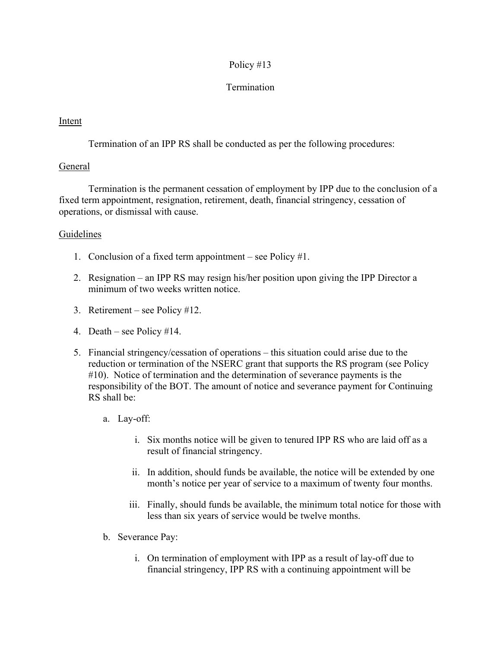# Termination

# Intent

Termination of an IPP RS shall be conducted as per the following procedures:

# General

Termination is the permanent cessation of employment by IPP due to the conclusion of a fixed term appointment, resignation, retirement, death, financial stringency, cessation of operations, or dismissal with cause.

- 1. Conclusion of a fixed term appointment see Policy #1.
- 2. Resignation an IPP RS may resign his/her position upon giving the IPP Director a minimum of two weeks written notice.
- 3. Retirement see Policy #12.
- 4. Death see Policy #14.
- 5. Financial stringency/cessation of operations this situation could arise due to the reduction or termination of the NSERC grant that supports the RS program (see Policy #10). Notice of termination and the determination of severance payments is the responsibility of the BOT. The amount of notice and severance payment for Continuing RS shall be:
	- a. Lay-off:
		- i. Six months notice will be given to tenured IPP RS who are laid off as a result of financial stringency.
		- ii. In addition, should funds be available, the notice will be extended by one month's notice per year of service to a maximum of twenty four months.
		- iii. Finally, should funds be available, the minimum total notice for those with less than six years of service would be twelve months.
	- b. Severance Pay:
		- i. On termination of employment with IPP as a result of lay-off due to financial stringency, IPP RS with a continuing appointment will be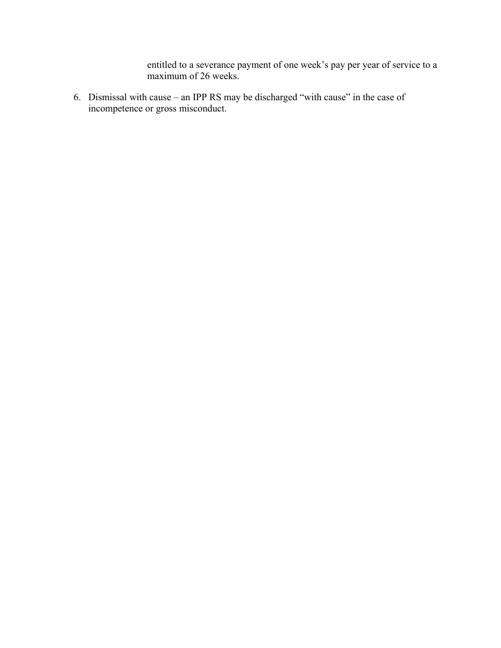entitled to a severance payment of one week's pay per year of service to a maximum of 26 weeks.

6. Dismissal with cause – an IPP RS may be discharged "with cause" in the case of incompetence or gross misconduct.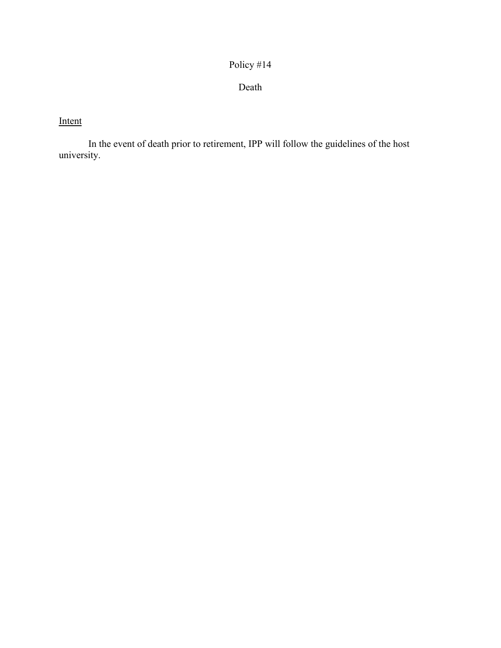Death

# Intent

In the event of death prior to retirement, IPP will follow the guidelines of the host university.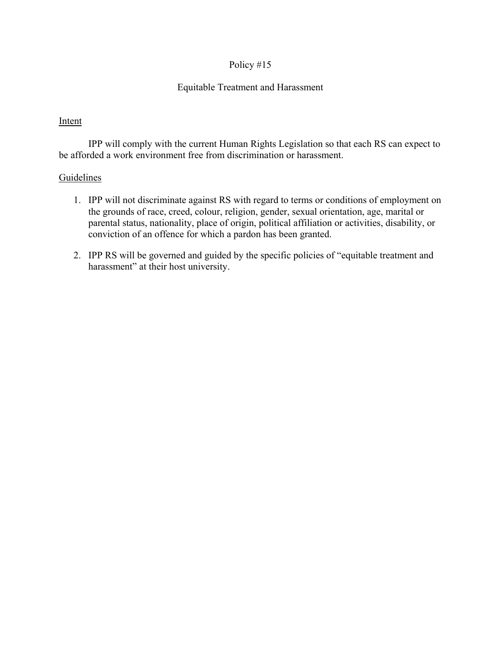# Equitable Treatment and Harassment

#### Intent

IPP will comply with the current Human Rights Legislation so that each RS can expect to be afforded a work environment free from discrimination or harassment.

- 1. IPP will not discriminate against RS with regard to terms or conditions of employment on the grounds of race, creed, colour, religion, gender, sexual orientation, age, marital or parental status, nationality, place of origin, political affiliation or activities, disability, or conviction of an offence for which a pardon has been granted.
- 2. IPP RS will be governed and guided by the specific policies of "equitable treatment and harassment" at their host university.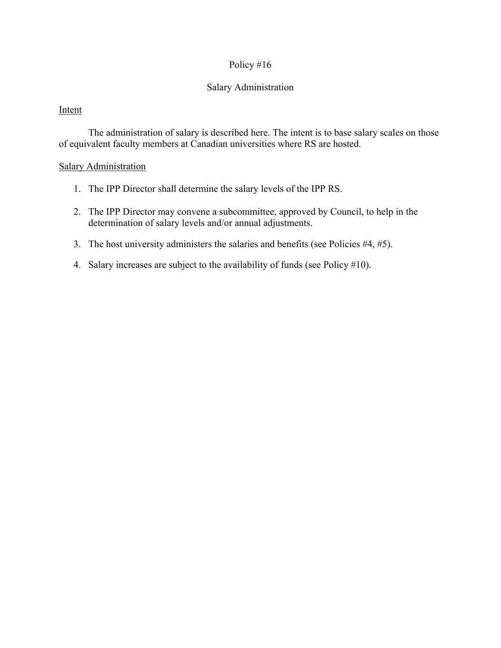# Salary Administration

# Intent

The administration of salary is described here. The intent is to base salary scales on those of equivalent faculty members at Canadian universities where RS are hosted.

# Salary Administration

- 1. The IPP Director shall determine the salary levels of the IPP RS.
- 2. The IPP Director may convene a subcommittee, approved by Council, to help in the determination of salary levels and/or annual adjustments.
- 3. The host university administers the salaries and benefits (see Policies #4, #5).
- 4. Salary increases are subject to the availability of funds (see Policy #10).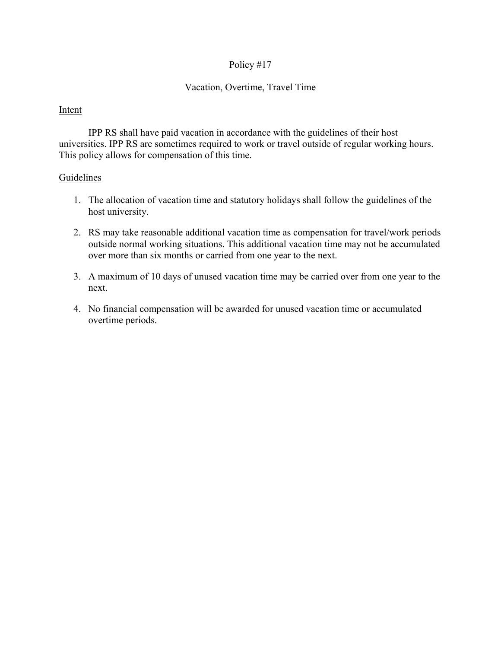# Vacation, Overtime, Travel Time

#### Intent

IPP RS shall have paid vacation in accordance with the guidelines of their host universities. IPP RS are sometimes required to work or travel outside of regular working hours. This policy allows for compensation of this time.

- 1. The allocation of vacation time and statutory holidays shall follow the guidelines of the host university.
- 2. RS may take reasonable additional vacation time as compensation for travel/work periods outside normal working situations. This additional vacation time may not be accumulated over more than six months or carried from one year to the next.
- 3. A maximum of 10 days of unused vacation time may be carried over from one year to the next.
- 4. No financial compensation will be awarded for unused vacation time or accumulated overtime periods.